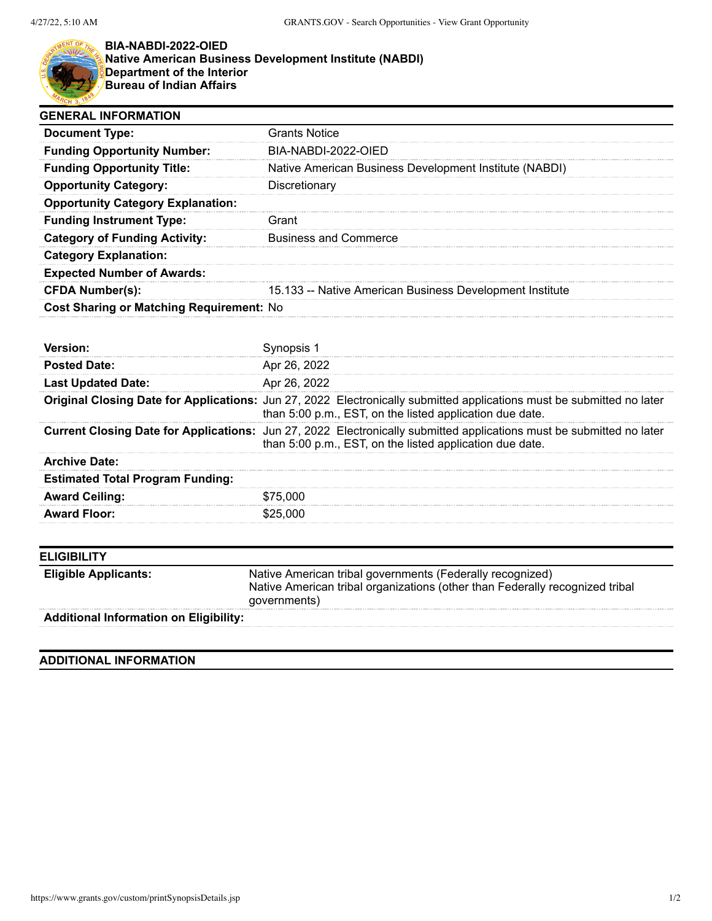

## **BIA-NABDI-2022-OIED Native American Business Development Institute (NABDI) Department of the Interior Bureau of Indian Affairs**

| <b>GENERAL INFORMATION</b>               |                                                          |  |
|------------------------------------------|----------------------------------------------------------|--|
| <b>Document Type:</b>                    | <b>Grants Notice</b>                                     |  |
| <b>Funding Opportunity Number:</b>       | BIA-NABDI-2022-OIED                                      |  |
| <b>Funding Opportunity Title:</b>        | Native American Business Development Institute (NABDI)   |  |
| <b>Opportunity Category:</b>             | Discretionary                                            |  |
| <b>Opportunity Category Explanation:</b> |                                                          |  |
| <b>Funding Instrument Type:</b>          | Grant                                                    |  |
| <b>Category of Funding Activity:</b>     | <b>Business and Commerce</b>                             |  |
| <b>Category Explanation:</b>             |                                                          |  |
| <b>Expected Number of Awards:</b>        |                                                          |  |
| <b>CFDA Number(s):</b>                   | 15.133 -- Native American Business Development Institute |  |
| Cost Sharing or Matching Requirement: No |                                                          |  |

| <b>Posted Date:</b>                     | Apr 26, 2022                                                                                                                                                                             |
|-----------------------------------------|------------------------------------------------------------------------------------------------------------------------------------------------------------------------------------------|
| <b>Last Updated Date:</b>               | Apr 26, 2022                                                                                                                                                                             |
|                                         | <b>Original Closing Date for Applications:</b> Jun 27, 2022 Electronically submitted applications must be submitted no later<br>than 5:00 p.m., EST, on the listed application due date. |
|                                         | Current Closing Date for Applications: Jun 27, 2022 Electronically submitted applications must be submitted no later<br>than 5:00 p.m., EST, on the listed application due date.         |
| <b>Archive Date:</b>                    |                                                                                                                                                                                          |
| <b>Estimated Total Program Funding:</b> |                                                                                                                                                                                          |
| <b>Award Ceiling:</b>                   | \$75,000                                                                                                                                                                                 |
| <b>Award Floor:</b>                     | \$25.000                                                                                                                                                                                 |

| <b>ELIGIBILITY</b>                            |                                                                                                                                                           |
|-----------------------------------------------|-----------------------------------------------------------------------------------------------------------------------------------------------------------|
| <b>Eligible Applicants:</b>                   | Native American tribal governments (Federally recognized)<br>Native American tribal organizations (other than Federally recognized tribal<br>governments) |
| <b>Additional Information on Eligibility:</b> |                                                                                                                                                           |
|                                               |                                                                                                                                                           |

## **ADDITIONAL INFORMATION**